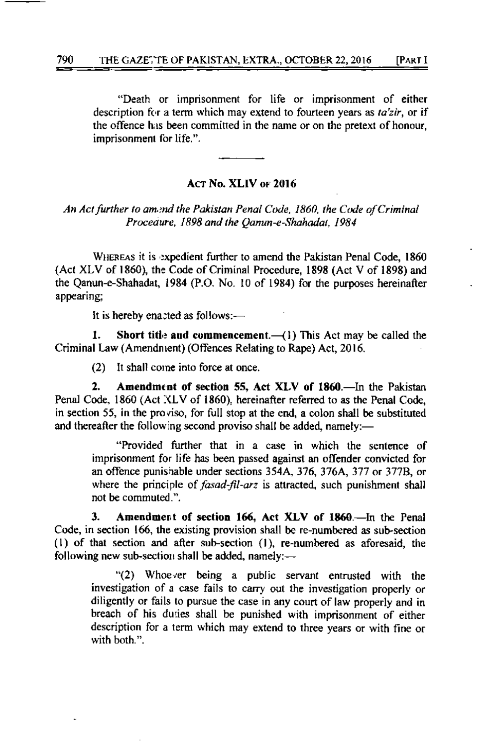## ACT No. XLIV or 2016

An Act further to amend the Pakistan Penal Code, 1860, the Code of Criminal Procedure, 1898 and the Qamin-e-Shahadat, 1984

WHEREAS it is expedient further to amend the Pakistan Penal Code, 1860 (Act XLV of 1860), the Code of Criminal Procedure, 1898 (Act V of 1898) and the Qanun-e-Shahadat, 1984 (P.O. No. 10 of 1984) for the purposes hereinafter appearing:

It is hereby enacted as follows:-

Short title and commencement. $-(1)$  This Act may be called the  $\mathbf{1}$ . Criminal Law (Amendment) (Offences Relating to Rape) Act, 2016.

It shall come into force at once.  $(2)$ 

 $2.$ Amendment of section 55, Act XLV of 1860.—In the Pakistan Penal Code, 1860 (Act XLV of 1860), hereinafter referred to as the Penal Code, in section 55, in the proviso, for full stop at the end, a colon shall be substituted and thereafter the following second proviso shall be added, namely:-

"Provided further that in a case in which the sentence of imprisonment for life has been passed against an offender convicted for an offence punishable under sections 354A, 376, 376A, 377 or 377B, or where the principle of *fasad-fil-arz* is attracted, such punishment shall not be commuted.".

Amendment of section 166, Act XLV of 1860.—In the Penal 3. Code, in section 166, the existing provision shall be re-numbered as sub-section (1) of that section and after sub-section (1), re-numbered as aforesaid, the following new sub-section shall be added, namely:-

"(2) Whoever being a public servant entrusted with the investigation of a case fails to carry out the investigation properly or diligently or fails to pursue the case in any court of law properly and in breach of his duties shall be punished with imprisonment of either description for a term which may extend to three years or with fine or with both."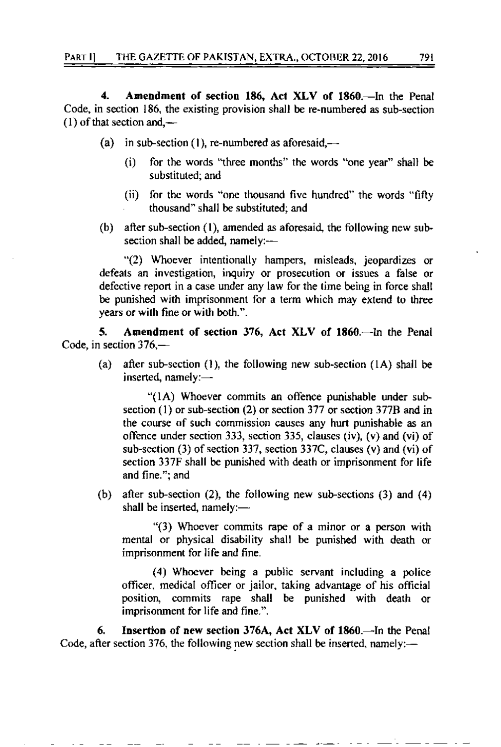4. Amendment of section 186, Act XLV of 1860.-In the Penal Code, in section  $186$ , the existing provision shall be re-numbered as sub-section  $(1)$  of that section and,—

- (a) in sub-section (1), re-numbered as aforesaid,—
	- (i) for lhe words 'tfuee rhonths" the words 'bne year" shall be substituted; and
	- (ii) for thc words "onc lhousand five hundred" the words "fifty thousand" shall be substituted; and
- (b) after sub-section (1), amended as aforesaid, the following new subsection shall be added, namely:-

"(2) Whoever intentionally hampers, misleads, jeopardizes or defeats an investigation, inquiry or prosecution or issues a false or defective report in a case under any law for the time being in force shall be punished with imprisonment for a term which may extend to three years or with fine or with both.".

5. Amendment of section 376, Act XLV of 1860.-- In the Penal Code, in section 376,-

(a) after sub-section (1), the following new sub-section (1A) shall be inserted, namely: $-$ 

" $(1A)$  Whoever commits an offence punishable under subsection  $(1)$  or sub-section  $(2)$  or section 377 or section 377B and in the course of such commission causes any hurt punishable as an offence under section 333, section 335, clauses (iv), (v) and (vi) of sub-section  $(3)$  of section 337, section 337C, clauses  $(v)$  and  $(vi)$  of section 337F shall be punished with death or imprisonment for life and fine,"; and

(b) after sub-section (2), the following new sub-sections (3) and (4) shall be inserted, namely: $-$ 

" $(3)$  Whoever commits rape of a minor or a person with mental or physical disability shall be punished with death or imprisonment for life and fine.

(4) Whoever being a public servant including a police officer, medical officer or jailor, taking advantage of his official positior\ commits rape shall be punished with death or imprisonment for life and fine.".

6. Insertion of new section 376A, Act XLV of 1860.-In the Penal Code, after section 376, the following new section shall be inserted, namely: $-$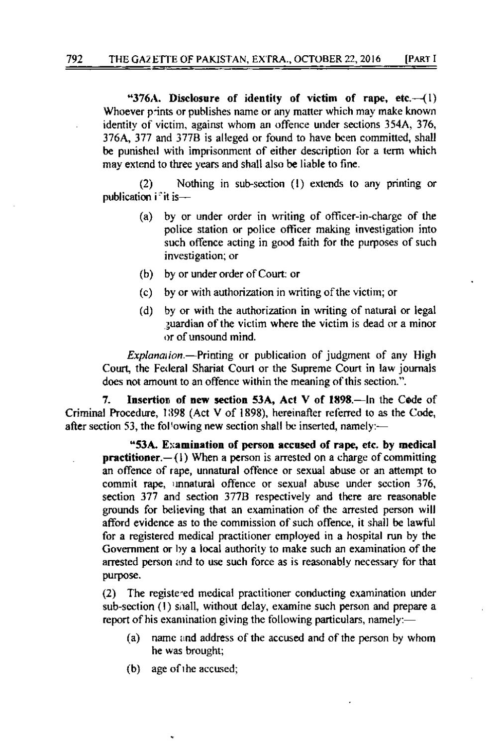"376A. Disclosure of identity of victim of rape, etc. $-(1)$ Whoever prints or publishes name or any matter which may make known identity of victim, against whom an offence under sections 354A, 376, 376A, 377 and 377B is alleged or found to have been committed, shall be punished with imprisonment of either description for a term which may extend to three years and shall also be liable to fine.

Nothing in sub-section (1) extends to any printing or  $(2)$ publication if it is-

- by or under order in writing of officer-in-charge of the (a) police station or police officer making investigation into such offence acting in good faith for the purposes of such investigation; or
- (b) by or under order of Court: or
- by or with authorization in writing of the victim; or  $(c)$
- by or with the authorization in writing of natural or legal  $(d)$ guardian of the victim where the victim is dead or a minor or of unsound mind.

*Explanation* – Printing or publication of judgment of any High Court, the Federal Shariat Court or the Supreme Court in law journals does not amount to an offence within the meaning of this section.".

7. Insertion of new section 53A, Act V of 1898.-In the Code of Criminal Procedure, 1398 (Act V of 1898), hereinafter referred to as the Code, after section 53, the following new section shall be inserted, namely:-

"53A. Examination of person accused of rape, etc. by medical **practitioner.** $-(1)$  When a person is arrested on a charge of committing an offence of rape, unnatural offence or sexual abuse or an attempt to commit rape, unnatural offence or sexual abuse under section 376, section 377 and section 377B respectively and there are reasonable grounds for believing that an examination of the arrested person will afford evidence as to the commission of such offence, it shall be lawful for a registered medical practitioner employed in a hospital run by the Government or by a local authority to make such an examination of the arrested person and to use such force as is reasonably necessary for that purpose.

(2) The registered medical practitioner conducting examination under sub-section (1) shall, without delay, examine such person and prepare a report of his examination giving the following particulars, namely:—

- name and address of the accused and of the person by whom (a) he was brought:
- age of the accused;  $(b)$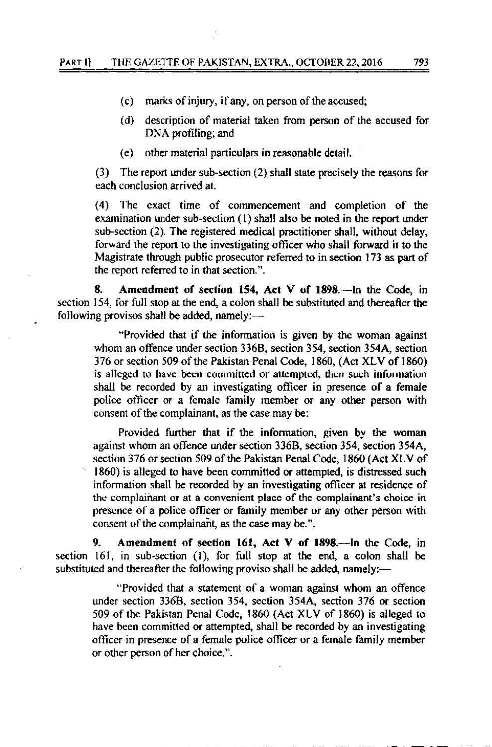- $(c)$ marks of injury, if any, on person of the accused;
- $(d)$ description of material taken from person of the accused for DNA profiling; and
- (e) other material particulars in reasonable detail.

The report under sub-section (2) shall state precisely the reasons for  $(3)$ each conclusion arrived at.

(4) The exact time of commencement and completion of the examination under sub-section (1) shall also be noted in the report under sub-section (2). The registered medical practitioner shall, without delay, forward the report to the investigating officer who shall forward it to the Magistrate through public prosecutor referred to in section 173 as part of the report referred to in that section.".

8. Amendment of section 154, Act V of 1898.—In the Code, in section 154, for full stop at the end, a colon shall be substituted and thereafter the following provisos shall be added, namely: $\longrightarrow$ 

"Provided that if the information is given by the woman against whom an offence under section 336B, section 354, section 354A, section 376 or section 509 of the Pakistan Penal Code, 1860, (Act XLV of 1860) is alleged to have been committed or attempted, then such information shall be recorded by an investigating officer in presence of a female police officer or a female family member or any other person with consent of the complainant, as the case may be:

Provided further that if the information, given by the woman against whom an offence under section 336B, section 354, section 354A, section 376 or section 509 of the Pakistan Penal Code, 1860 (Act XLV of 1860) is alleged to have been committed or attempted, is distressed such information shall be recorded by an investigating officer at residence of the complainant or at a convenient place of the complainant's choice in presence of a police officer or family member or any other person with consent of the complainant, as the case may be.".

9. Amendment of section 161, Act V of 1898.—In the Code, in section 161, in sub-section (1), for full stop at the end, a colon shall be substituted and thereafter the following proviso shall be added, namely:—

"Provided that a statement of a woman against whom an offence under section 336B, section 354, section 354A, section 376 or section 509 of the Pakistan Penal Code, 1860 (Act XLV of 1860) is alleged to have been committed or attempted, shall be recorded by an investigating officer in presence of a female police officer or a female family member or other person of her choice.".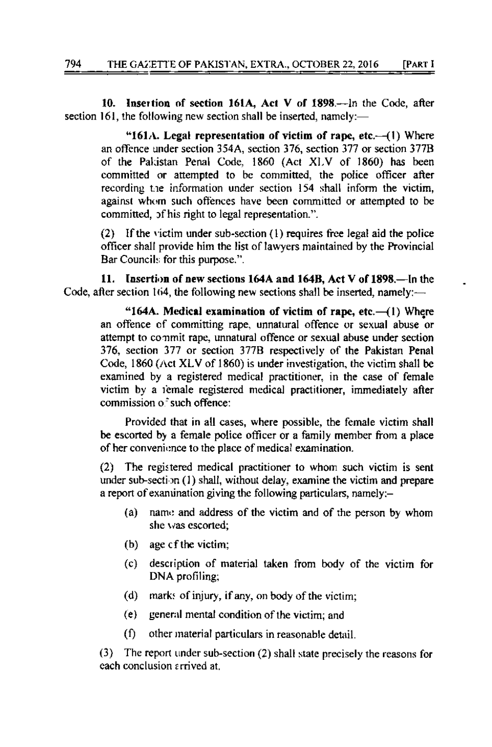Insertion of section 161A, Act V of 1898.--In the Code, after 10. section 161, the following new section shall be inserted, namely:—

"161A. Legal representation of victim of rape, etc. $-(1)$  Where an offence under section 354A, section 376, section 377 or section 377B of the Pakistan Penal Code, 1860 (Act XLV of 1860) has been committed or attempted to be committed, the police officer after recording the information under section 154 shall inform the victim, against whom such offences have been committed or attempted to be committed, of his right to legal representation.".

(2) If the victim under sub-section (1) requires free legal aid the police officer shall provide him the list of lawyers maintained by the Provincial Bar Councils for this purpose.".

11. Insertion of new sections 164A and 164B, Act V of 1898.—In the Code, after section 164, the following new sections shall be inserted, namely:—

"164A. Medical examination of victim of rape, etc. $-(1)$  Where an offence of committing rape, unnatural offence or sexual abuse or attempt to commit rape, unnatural offence or sexual abuse under section 376, section 377 or section 377B respectively of the Pakistan Penal Code, 1860 (Act XLV of 1860) is under investigation, the victim shall be examined by a registered medical practitioner, in the case of female victim by a female registered medical practitioner, immediately after commission of such offence:

Provided that in all cases, where possible, the female victim shall be escorted by a female police officer or a family member from a place of her convenience to the place of medical examination.

(2) The registered medical practitioner to whom such victim is sent under sub-section (1) shall, without delay, examine the victim and prepare a report of examination giving the following particulars, namely:-

- name and address of the victim and of the person by whom  $(a)$ she was escorted;
- (b) age cf the victim;
- $(c)$ description of material taken from body of the victim for DNA profiling;
- $(d)$ marks of injury, if any, on body of the victim;
- $(e)$ general mental condition of the victim; and
- $(f)$ other material particulars in reasonable detail.

(3) The report under sub-section (2) shall state precisely the reasons for each conclusion arrived at.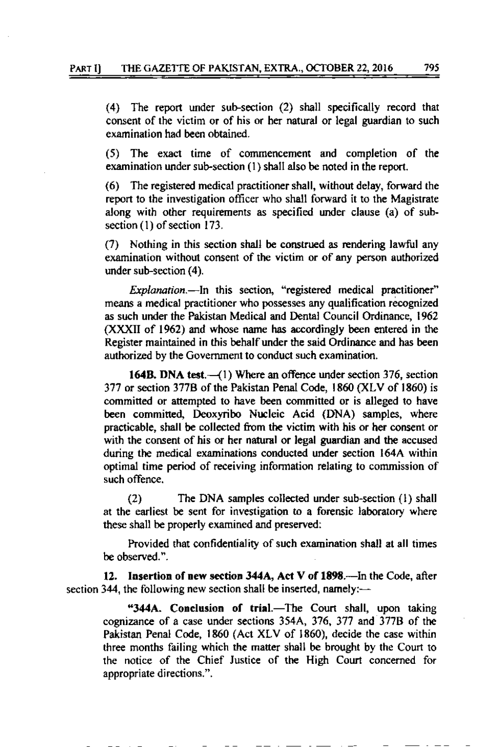(4) The report under sub-section (2) shall specifically record that consent of the victim or of his or her natural or legal guardian to such examination had been obtained.

The exact time of commencement and completion of the  $(5)$ examination under sub-section (1) shall also be noted in the report.

The registered medical practitioner shall, without delay, forward the  $(6)$ report to the investigation officer who shall forward it to the Magistrate along with other requirements as specified under clause (a) of subsection (1) of section 173.

(7) Nothing in this section shall be construed as rendering lawful any examination without consent of the victim or of any person authorized under sub-section (4).

*Explanation*.- In this section, "registered medical practitioner" means a medical practitioner who possesses any qualification recognized as such under the Pakistan Medical and Dental Council Ordinance, 1962 (XXXII of 1962) and whose name has accordingly been entered in the Register maintained in this behalf under the said Ordinance and has been authorized by the Government to conduct such examination.

164B. DNA test.—(1) Where an offence under section 376, section 377 or section 377B of the Pakistan Penal Code, 1860 (XLV of 1860) is committed or attempted to have been committed or is alleged to have been committed, Deoxyribo Nucleic Acid (DNA) samples, where practicable, shall be collected from the victim with his or her consent or with the consent of his or her natural or legal guardian and the accused during the medical examinations conducted under section 164A within optimal time period of receiving information relating to commission of such offence.

The DNA samples collected under sub-section (1) shall  $(2)$ at the earliest be sent for investigation to a forensic laboratory where these shall be properly examined and preserved:

Provided that confidentiality of such examination shall at all times be observed.".

12. Insertion of new section 344A, Act V of 1898.—In the Code, after section 344, the following new section shall be inserted, namely:—

"344A. Conclusion of trial.—The Court shall, upon taking cognizance of a case under sections 354A, 376, 377 and 377B of the Pakistan Penal Code, 1860 (Act XLV of 1860), decide the case within three months failing which the matter shall be brought by the Court to the notice of the Chief Justice of the High Court concerned for appropriate directions.".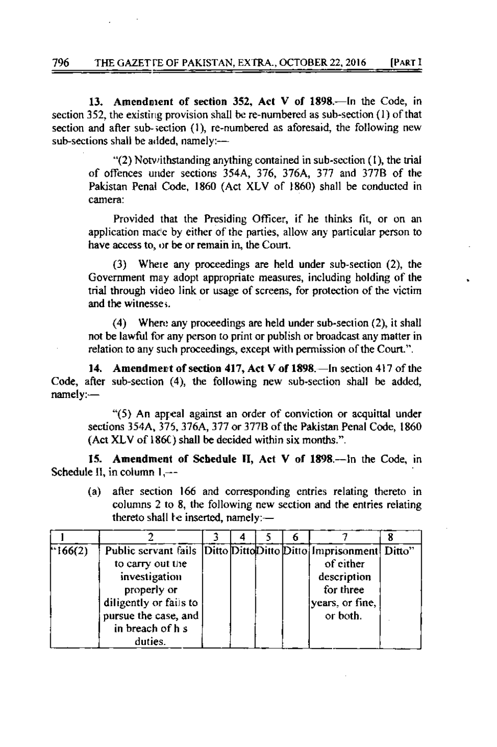13. Amendment of section 352, Act V of 1898.—In the Code, in section 352, the existing provision shall be re-numbered as sub-section (1) of that section and after sub-section (1), re-numbered as aforesaid, the following new sub-sections shall be added, namely:-

" $(2)$  Notwithstanding anything contained in sub-section  $(1)$ , the trial of offences under sections 354A, 376, 376A, 377 and 377B of the Pakistan Penal Code, 1860 (Act XLV of 1860) shall be conducted in camera:

Provided that the Presiding Officer, if he thinks fit, or on an application made by either of the parties, allow any particular person to have access to, or be or remain in, the Court.

Where any proceedings are held under sub-section (2), the  $(3)$ Government may adopt appropriate measures, including holding of the trial through video link or usage of screens, for protection of the victim and the witnesses.

Where any proceedings are held under sub-section (2), it shall  $(4)$ not be lawful for any person to print or publish or broadcast any matter in relation to any such proceedings, except with permission of the Court.".

Amendment of section 417, Act V of 1898. - In section 417 of the 14. Code, after sub-section (4), the following new sub-section shall be added, namely:-

"(5) An appeal against an order of conviction or acquittal under sections 354A, 375, 376A, 377 or 377B of the Pakistan Penal Code, 1860 (Act XLV of 186C) shall be decided within six months.".

15. Amendment of Schedule II, Act V of 1898.—In the Code, in Schedule II, in column  $1,--$ 

after section 166 and corresponding entries relating thereto in  $(a)$ columns 2 to 8, the following new section and the entries relating thereto shall be inserted, namely:-

| $^{\text{+166(2)}}$ | Public servant fails Ditto Ditto Ditto Ditto Imprisonment Ditto" |  |  |                 |  |
|---------------------|------------------------------------------------------------------|--|--|-----------------|--|
|                     | to carry out the                                                 |  |  | of either       |  |
|                     | investigation                                                    |  |  | description     |  |
|                     | properly or                                                      |  |  | for three       |  |
|                     | diligently or fails to                                           |  |  | years, or fine, |  |
|                     | pursue the case, and                                             |  |  | or both.        |  |
|                     | in breach of h s                                                 |  |  |                 |  |
|                     | duties.                                                          |  |  |                 |  |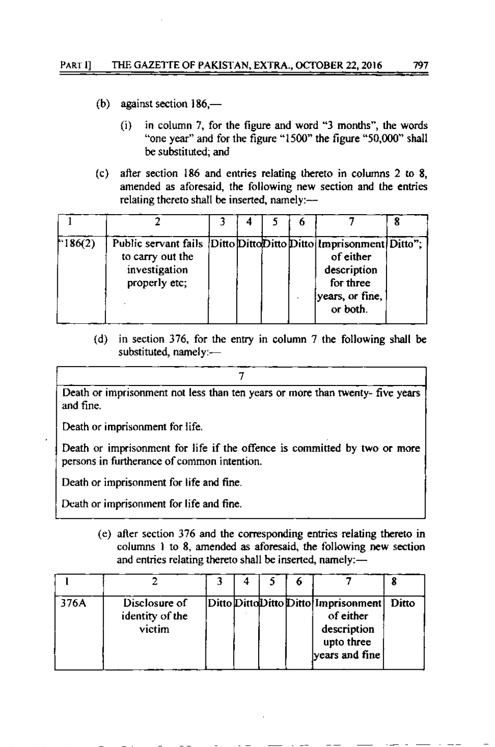- (b) against section  $186$ 
	- in column 7, for the figure and word "3 months", the words  $(i)$ "one year" and for the figure "1500" the figure "50,000" shall be substituted: and
- $(c)$ after section 186 and entries relating thereto in columns 2 to 8. amended as aforesaid, the following new section and the entries relating thereto shall be inserted, namely:--

| 186(2) | Public servant fails Ditto Ditto Ditto Ditto Imprisonment Ditto";<br>to carry out the<br>investigation<br>properly etc; |  |  | of either<br>description<br>for three<br>years, or fine,<br>or both. |  |
|--------|-------------------------------------------------------------------------------------------------------------------------|--|--|----------------------------------------------------------------------|--|

(d) in section 376, for the entry in column 7 the following shall be substituted, namely:-

Death or imprisonment not less than ten years or more than twenty- five years and fine.

Death or imprisonment for life.

Death or imprisonment for life if the offence is committed by two or more persons in furtherance of common intention.

Death or imprisonment for life and fine.

Death or imprisonment for life and fine.

(e) after section 376 and the corresponding entries relating thereto in columns 1 to 8, amended as aforesaid, the following new section and entries relating thereto shall be inserted, namely:—

| 376A | Disclosure of<br>identity of the<br>victim |  |  | Ditto DittoDitto Ditto Imprisonment<br>of either<br>description<br>upto three<br>years and fine | Ditto |
|------|--------------------------------------------|--|--|-------------------------------------------------------------------------------------------------|-------|